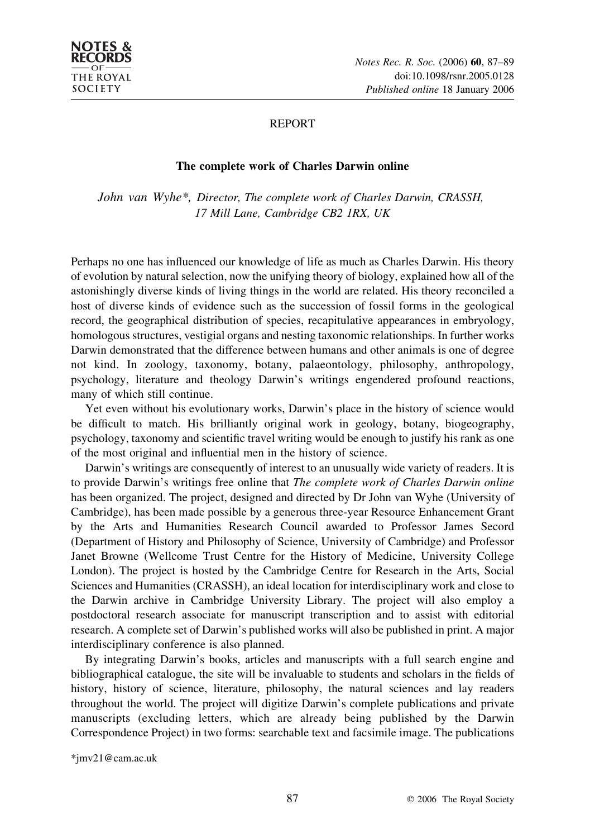

# REPORT

## The complete work of Charles Darwin online

John van Wyhe\*, Director, The complete work of Charles Darwin, CRASSH, 17 Mill Lane, Cambridge CB2 1RX, UK

Perhaps no one has influenced our knowledge of life as much as Charles Darwin. His theory of evolution by natural selection, now the unifying theory of biology, explained how all of the astonishingly diverse kinds of living things in the world are related. His theory reconciled a host of diverse kinds of evidence such as the succession of fossil forms in the geological record, the geographical distribution of species, recapitulative appearances in embryology, homologous structures, vestigial organs and nesting taxonomic relationships. In further works Darwin demonstrated that the difference between humans and other animals is one of degree not kind. In zoology, taxonomy, botany, palaeontology, philosophy, anthropology, psychology, literature and theology Darwin's writings engendered profound reactions, many of which still continue.

Yet even without his evolutionary works, Darwin's place in the history of science would be difficult to match. His brilliantly original work in geology, botany, biogeography, psychology, taxonomy and scientific travel writing would be enough to justify his rank as one of the most original and influential men in the history of science.

Darwin's writings are consequently of interest to an unusually wide variety of readers. It is to provide Darwin's writings free online that The complete work of Charles Darwin online has been organized. The project, designed and directed by Dr John van Wyhe (University of Cambridge), has been made possible by a generous three-year Resource Enhancement Grant by the Arts and Humanities Research Council awarded to Professor James Secord (Department of History and Philosophy of Science, University of Cambridge) and Professor Janet Browne (Wellcome Trust Centre for the History of Medicine, University College London). The project is hosted by the Cambridge Centre for Research in the Arts, Social Sciences and Humanities (CRASSH), an ideal location for interdisciplinary work and close to the Darwin archive in Cambridge University Library. The project will also employ a postdoctoral research associate for manuscript transcription and to assist with editorial research. A complete set of Darwin's published works will also be published in print. A major interdisciplinary conference is also planned.

By integrating Darwin's books, articles and manuscripts with a full search engine and bibliographical catalogue, the site will be invaluable to students and scholars in the fields of history, history of science, literature, philosophy, the natural sciences and lay readers throughout the world. The project will digitize Darwin's complete publications and private manuscripts (excluding letters, which are already being published by the Darwin Correspondence Project) in two forms: searchable text and facsimile image. The publications

\*jmv21@cam.ac.uk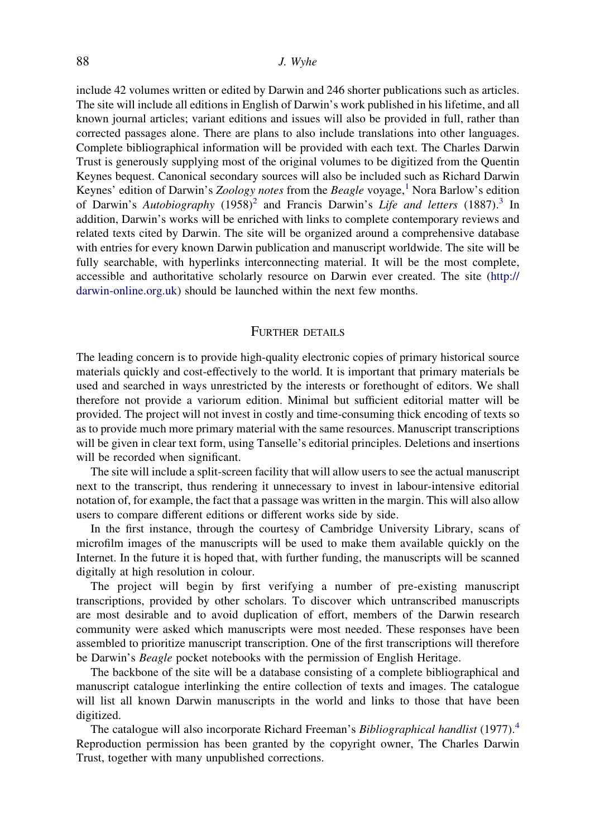#### 88 J. Wyhe

include 42 volumes written or edited by Darwin and 246 shorter publications such as articles. The site will include all editions in English of Darwin's work published in his lifetime, and all known journal articles; variant editions and issues will also be provided in full, rather than corrected passages alone. There are plans to also include translations into other languages. Complete bibliographical information will be provided with each text. The Charles Darwin Trust is generously supplying most of the original volumes to be digitized from the Quentin Keynes bequest. Canonical secondary sources will also be included such as Richard Darwin Keynes' edition of Darwin's Zoology notes from the Beagle voyage,<sup>[1](#page-2-0)</sup> Nora Barlow's edition of Darwin's Autobiography  $(1958)^2$  $(1958)^2$  and Francis Darwin's Life and letters  $(1887)$ .<sup>[3](#page-2-0)</sup> In addition, Darwin's works will be enriched with links to complete contemporary reviews and related texts cited by Darwin. The site will be organized around a comprehensive database with entries for every known Darwin publication and manuscript worldwide. The site will be fully searchable, with hyperlinks interconnecting material. It will be the most complete, accessible and authoritative scholarly resource on Darwin ever created. The site [\(http://](http://darwin-online.org.uk) [darwin-online.org.uk](http://darwin-online.org.uk)) should be launched within the next few months.

## FURTHER DETAILS

The leading concern is to provide high-quality electronic copies of primary historical source materials quickly and cost-effectively to the world. It is important that primary materials be used and searched in ways unrestricted by the interests or forethought of editors. We shall therefore not provide a variorum edition. Minimal but sufficient editorial matter will be provided. The project will not invest in costly and time-consuming thick encoding of texts so as to provide much more primary material with the same resources. Manuscript transcriptions will be given in clear text form, using Tanselle's editorial principles. Deletions and insertions will be recorded when significant.

The site will include a split-screen facility that will allow users to see the actual manuscript next to the transcript, thus rendering it unnecessary to invest in labour-intensive editorial notation of, for example, the fact that a passage was written in the margin. This will also allow users to compare different editions or different works side by side.

In the first instance, through the courtesy of Cambridge University Library, scans of microfilm images of the manuscripts will be used to make them available quickly on the Internet. In the future it is hoped that, with further funding, the manuscripts will be scanned digitally at high resolution in colour.

The project will begin by first verifying a number of pre-existing manuscript transcriptions, provided by other scholars. To discover which untranscribed manuscripts are most desirable and to avoid duplication of effort, members of the Darwin research community were asked which manuscripts were most needed. These responses have been assembled to prioritize manuscript transcription. One of the first transcriptions will therefore be Darwin's Beagle pocket notebooks with the permission of English Heritage.

The backbone of the site will be a database consisting of a complete bibliographical and manuscript catalogue interlinking the entire collection of texts and images. The catalogue will list all known Darwin manuscripts in the world and links to those that have been digitized.

The catalogue will also incorporate Richard Freeman's Bibliographical handlist (1977).<sup>[4](#page-2-0)</sup> Reproduction permission has been granted by the copyright owner, The Charles Darwin Trust, together with many unpublished corrections.